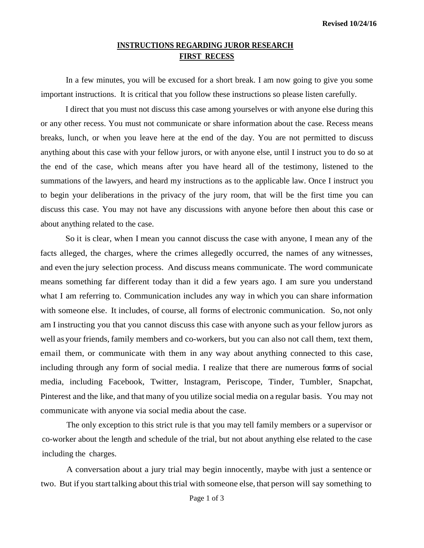## **INSTRUCTIONS REGARDING JUROR RESEARCH FIRST RECESS**

In a few minutes, you will be excused for a short break. I am now going to give you some important instructions. It is critical that you follow these instructions so please listen carefully.

I direct that you must not discuss this case among yourselves or with anyone else during this or any other recess. You must not communicate or share information about the case. Recess means breaks, lunch, or when you leave here at the end of the day. You are not permitted to discuss anything about this case with your fellow jurors, or with anyone else, until I instruct you to do so at the end of the case, which means after you have heard all of the testimony, listened to the summations of the lawyers, and heard my instructions as to the applicable law. Once I instruct you to begin your deliberations in the privacy of the jury room, that will be the first time you can discuss this case. You may not have any discussions with anyone before then about this case or about anything related to the case.

So it is clear, when I mean you cannot discuss the case with anyone, I mean any of the facts alleged, the charges, where the crimes allegedly occurred, the names of any witnesses, and even the jury selection process. And discuss means communicate. The word communicate means something far different today than it did a few years ago. I am sure you understand what I am referring to. Communication includes any way in which you can share information with someone else. It includes, of course, all forms of electronic communication. So, not only am I instructing you that you cannot discuss this case with anyone such as your fellow jurors as well asyour friends, family members and co-workers, but you can also not call them, text them, email them, or communicate with them in any way about anything connected to this case, including through any form of social media. I realize that there are numerous forms of social media, including Facebook, Twitter, lnstagram, Periscope, Tinder, Tumbler, Snapchat, Pinterest and the like, and that many of you utilize social media on a regular basis. You may not communicate with anyone via social media about the case.

The only exception to this strict rule is that you may tell family members or a supervisor or co-worker about the length and schedule of the trial, but not about anything else related to the case including the charges.

A conversation about a jury trial may begin innocently, maybe with just a sentence or two. But if you start talking about this trial with someone else, that person will say something to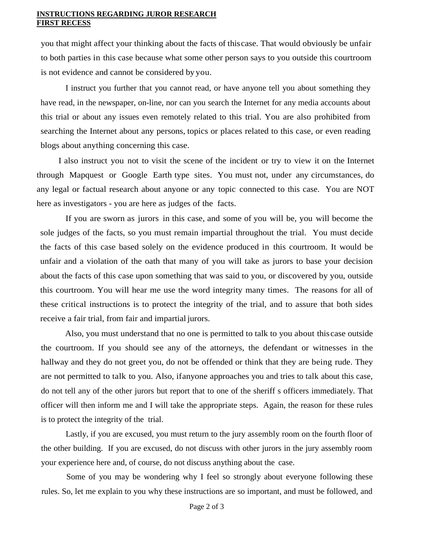## **INSTRUCTIONS REGARDING JUROR RESEARCH FIRST RECESS**

you that might affect your thinking about the facts of thiscase. That would obviously be unfair to both parties in this case because what some other person says to you outside this courtroom is not evidence and cannot be considered by you.

I instruct you further that you cannot read, or have anyone tell you about something they have read, in the newspaper, on-line, nor can you search the Internet for any media accounts about this trial or about any issues even remotely related to this trial. You are also prohibited from searching the Internet about any persons, topics or places related to this case, or even reading blogs about anything concerning this case.

I also instruct you not to visit the scene of the incident or try to view it on the Internet through Mapquest or Google Earth type sites. You must not, under any circumstances, do any legal or factual research about anyone or any topic connected to this case. You are NOT here as investigators - you are here as judges of the facts.

If you are sworn as jurors in this case, and some of you will be, you will become the sole judges of the facts, so you must remain impartial throughout the trial. You must decide the facts of this case based solely on the evidence produced in this courtroom. It would be unfair and a violation of the oath that many of you will take as jurors to base your decision about the facts of this case upon something that was said to you, or discovered by you, outside this courtroom. You will hear me use the word integrity many times. The reasons for all of these critical instructions is to protect the integrity of the trial, and to assure that both sides receive a fair trial, from fair and impartial jurors.

Also, you must understand that no one is permitted to talk to you about thiscase outside the courtroom. If you should see any of the attorneys, the defendant or witnesses in the hallway and they do not greet you, do not be offended or think that they are being rude. They are not permitted to talk to you. Also, ifanyone approaches you and tries to talk about this case, do not tell any of the other jurors but report that to one of the sheriff s officers immediately. That officer will then inform me and I will take the appropriate steps. Again, the reason for these rules is to protect the integrity of the trial.

Lastly, if you are excused, you must return to the jury assembly room on the fourth floor of the other building. If you are excused, do not discuss with other jurors in the jury assembly room your experience here and, of course, do not discuss anything about the case.

Some of you may be wondering why I feel so strongly about everyone following these rules. So, let me explain to you why these instructions are so important, and must be followed, and